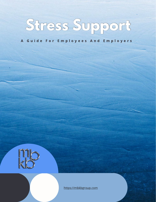

A Guide For Employees And Employers



[https://mbkbgroup.com](https://mbkbgroup.com/safeguarding/)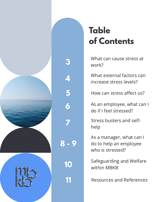

**5**

# **Table of Contents**

[What can cause stress at](#page-2-0) **[3](#page-2-0)** work?

[What external factors can](#page-3-0) increase stress levels?

How can stress affect us?

[As an employee, what can I](#page-5-0) do if I feel stressed?

[Stress busters and self](#page-6-0)help

[As a manager, what can I](#page-8-0) do to help an employee who is stressed?

[Safeguarding and Welfare](#page-9-0) within MBKB **[10](#page-9-0)**

**[11](#page-10-0)** [Resources and References](#page-10-0)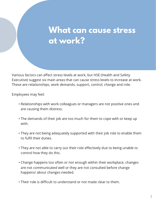### <span id="page-2-0"></span>**What can cause stress at work?**

Various factors can affect stress levels at work, but HSE (Health and Safety Executive) suggest six main areas that can cause stress levels to increase at work. These are relationships, work demands, support, control, change and role.

Employees may feel:

- Relationships with work colleagues or managers are not positive ones and are causing them distress.  **(+1.4%)**
- The demands of their job are too much for them to cope with or keep up with.
- They are not being adequately supported with their job role to enable them to fulfil their duties.
- They are not able to carry out their role effectively due to being unable to control how they do this.
- Change happens too often or not enough within their workplace, changes are not communicated well or they are not consulted before change happens/ about changes needed.
- Their role is difficult to understand or not made clear to them.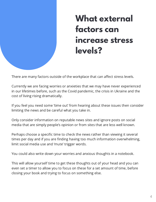# **What external factors can increase stress levels?**

<span id="page-3-0"></span>There are many factors outside of the workplace that can affect stress levels.

Currently we are facing worries or anxieties that we may have never experienced in our lifetimes before, such as the Covid pandemic, the crisis in Ukraine and the cost of living rising dramatically.

If you feel you need some 'time out' from hearing about these issues then consider limiting the news and be careful what you take in.

Only consider information on reputable news sites and ignore posts on social media that are simply people's opinion or from sites that are less well known.

Perhaps choose a specific time to check the news rather than viewing it several times per day and if you are finding having too much information overwhelming, limit social media use and 'mute' trigger words.

You could also write down your worries and anxious thoughts in a notebook.

This will allow yourself time to get these thoughts out of your head and you can even set a timer to allow you to focus on these for a set amount of time, before closing your book and trying to focus on something else.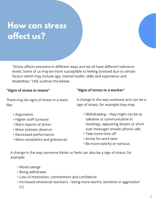# **How can stress affect us?**

"Stress affects everyone in different ways and we all have different tolerance levels; Some of us may be more susceptible to feeling stressed due to certain factors which may include age, mental health, skills and experience and disabilities." HSE outlines the below:

#### "Signs of stress in teams"

There may be signs of stress in a team, like:

- Arguments
- Higher staff turnover
- More reports of stress
- More sickness absence
- Decreased performance
- More complaints and grievances

#### "Signs of stress in a worker"

A change in the way someone acts can be a sign of stress, for example they may:

- Withdrawing they might not be as talkative or communicative in meetings, appearing distant or short over message/ emails/ phone calls
- Take more time off
- Arrive for work later
- Be more twitchy or nervous

A change in the way someone thinks or feels can also be a sign of stress, for example:

- Mood swings
- Being withdrawn
- Loss of motivation, commitment and confidence
- Increased emotional reactions being more tearful, sensitive or aggressive" [1]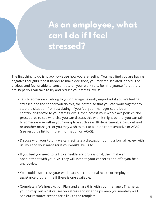## <span id="page-5-0"></span>**As an employee, what can I do if I feel stressed?**

The first thing to do is to acknowledge how you are feeling. You may find you are having negative thoughts, find it harder to make decisions, you may feel isolated, nervous or anxious and feel unable to concentrate on your work role. Remind yourself that there are steps you can take to try and reduce your stress levels:

- Talk to someone Talking to your manager is really important if you are feeling stressed and the sooner you do this, the better, so that you can work together to stop the situation from escalating. If you feel your manager could be a  **(+1.4%)** contributing factor to your stress levels, then access your workplace policies and procedures to see who else you can discuss this with. It might be that you can talk to someone else within your workplace such as a HR department, a pastoral lead or another manager, or you may wish to talk to a union representative or ACAS (see resource list for more information on ACAS).
- Discuss with your tutor we can facilitate a discussion during a formal review with us, you and your manager if you would like us to.
- If you feel you need to talk to a healthcare professional, then make an appointment with your GP. They will listen to your concerns and offer you help and advice.
- You could also access your workplace's occupational health or employee assistance programme if there is one available.
- Complete a 'Wellness Action Plan' and share this with your manager. This helps you to map out what causes you stress and what helps keep you mentally well. See our resource section for a link to the template.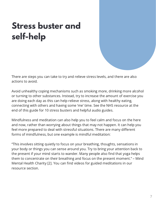# <span id="page-6-0"></span>**Stress buster and self-help**

There are steps you can take to try and relieve stress levels, and there are also actions to avoid.

Avoid unhealthy coping mechanisms such as smoking more, drinking more alcohol or turning to other substances. Instead, try to increase the amount of exercise you are doing each day as this can help relieve stress, along with healthy eating, connecting with others and having some 'me' time. See the NHS resource at the end of this guide for 10 stress busters and helpful audio guides.

Mindfulness and meditation can also help you to feel calm and focus on the here and now, rather than worrying about things that may not happen. It can help you feel more prepared to deal with stressful situations. There are many different forms of mindfulness, but one example is mindful meditation:

"This involves sitting quietly to focus on your breathing, thoughts, sensations in your body or things you can sense around you. Try to bring your attention back to the present if your mind starts to wander. Many people also find that yoga helps them to concentrate on their breathing and focus on the present moment." – Mind Mental Health Charity [2]. You can find videos for guided meditations in our resource section.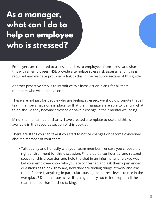## <span id="page-7-0"></span>**As a manager, what can I do to help an employee who is stressed?**

Employers are required to assess the risks to employees from stress and share this with all employees. HSE provide a template stress risk assessment if this is required and we have provided a link to this in the resource section of this guide.

Another proactive step is to introduce 'Wellness Action plans' for all team members who wish to have one.

These are not just for people who are feeling stressed, we should promote that all team members have one in place, so that their managers are able to identify what to do should they become stressed or have a change in their mental wellbeing.

Mind, the mental health charity, have created a template to use and this is available in the resource section of this booklet.

There are steps you can take if you start to notice changes or become concerned about a member of your team:

• Talk openly and honestly with your team member – ensure you choose the right environment for this discussion; Find a quiet, confidential and relaxed space for this discussion and hold the chat in an informal and relaxed way. Let your employee know why you are concerned and ask them open ended questions as to how they are, how they are finding things at work and ask them if there is anything in particular causing their stress levels to rise in the workplace? Demonstrate active listening and try not to interrupt until the team member has finished talking.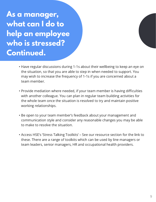<span id="page-8-0"></span>**As a manager, what can I do to help an employee who is stressed? Continued.**

- Have regular discussions during 1-1s about their wellbeing to keep an eye on the situation, so that you are able to step in when needed to support. You may wish to increase the frequency of 1-1s if you are concerned about a team member.
- Provide mediation where needed, if your team member is having difficulties with another colleague. You can plan in regular team building activities for the whole team once the situation is resolved to try and maintain positive working relationships.
- Be open to your team member's feedback about your management and communication style and consider any reasonable changes you may be able to make to resolve the situation.
- Access HSE's 'Stress Talking Toolkits' See our resource section for the link to these. There are a range of toolkits which can be used by line managers or team leaders, senior managers, HR and occupational health providers.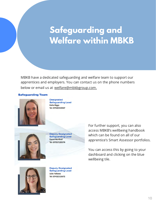## <span id="page-9-0"></span>**Safeguarding and Welfare within MBKB**

MBKB have a dedicated safeguarding and welfare team to support our apprentices and employers. You can contact us on the phone numbers below or email us at [welfare@mbkbgroup.com.](mailto:welfare@mbkbgroup.com)

#### **Safeguarding Team**



**Designated Safeguarding Lead Katie Biggs** Tel: 07940353947



**Deputy Designated Safeguarding Lead Danni Northall** Tel: 07957220374

For further support, you can also access MBKB's wellbeing handbook which can be found on all of our apprentice's Smart Assessor portfolios.

You can access this by going to your dashboard and clicking on the blue wellbeing tile.



**Deputy Designated Safeguarding Lead Julie Fellows** Tel: 07432315672